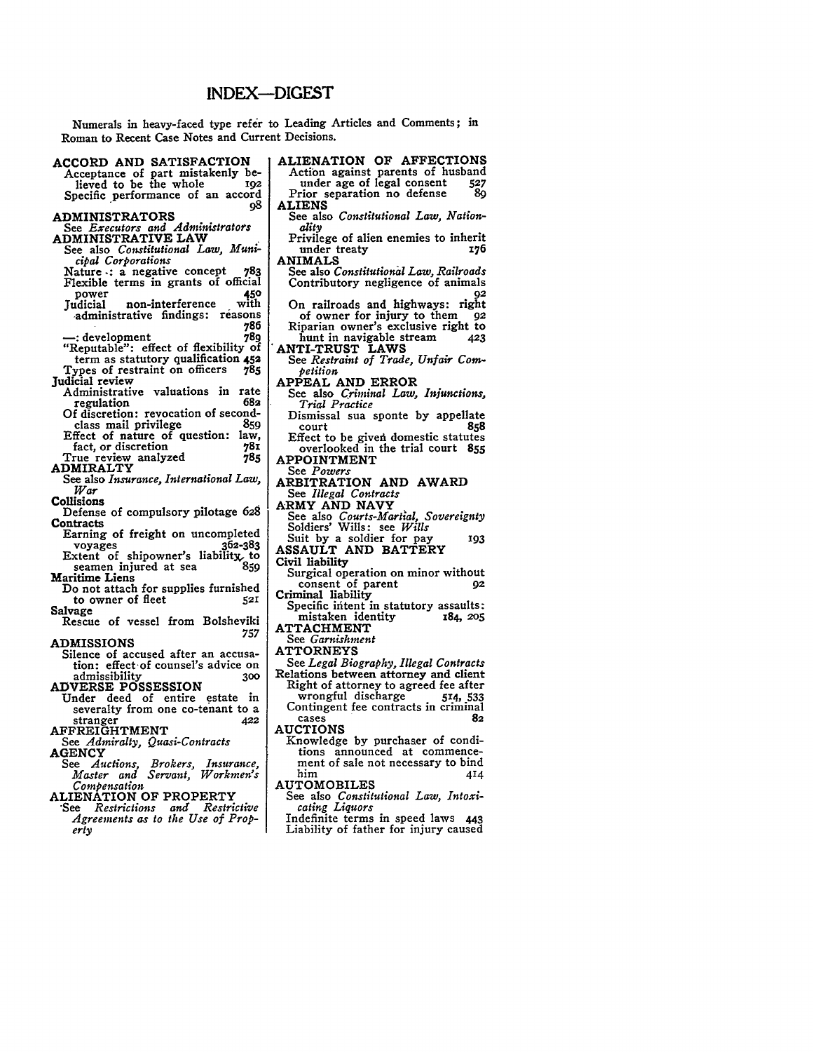# INDEX-DIGEST

Numerals in heavy-faced type refer to Leading Articles and Comments; in Roman to Recent Case Notes and Current Decisions.

# **ACCORD AND SATISFACTION**

**Acceptance of part mistakenly be**lieved to be the whole Specific performance of an accord **98**

#### **ADMINISTRATORS**

- See *Executors and Administrators* **ADMINISTRATIVE LAW**
- See also *Constitutional Law, Municipal Corporations*
- Nature **-:** a negative concept **783** Flexible terms in grants of official<br>nower
- power **450** non-interference -administrative findings: reasons **<sup>786</sup>**
- 
- **-:** development **789** "Reputable": effect of flexibility of term as statutory qualification **452**
- Types of restraint on officers **785** Judicial review
	- Administrative valuations in rate<br>regulation regulation **682**
	- Of discretion: revocation of second-<br>class mail privilege 859 class mail privilege **85g**
- Effect of nature of question: law,<br>fact, or discretion 781 fact, or discretion 781<br>
rue review analyzed 785
- True review analyzed **785**
- **ADMIRALTY**
- See also *Insurance, International Law, War*
- **Collisions**
- Defense of compulsory pilotage **628 Contracts**
- Earning of freight on uncompleted voyages **362-383** Extent of shipowner's liability, to seamen injured at sea **<sup>859</sup>**
- **Maritime Liens**
- Do not attach for supplies furnished<br>to owner of fleet 521 to owner of fleet<br>Salvage
- **Salvage** Rescue of vessel from Bolsheviki *<sup>757</sup>*

**ADMISSIONS**

- Silence of accused after an accusa- tion: effect-of counsel's advice on admissibility **<sup>300</sup>**
- **ADVERSE POSSESSION**
- Under deed of entire estate in severalty from one co-tenant to a stranger **<sup>422</sup>**
- AFFREIGHTMENT
- See *Admiralty, Quasi-Contracts* **AGENCY**
- *See Auctions, Brokers, Insurance, Master and Servant, Workmen's Compensation*
- **ALIENATION OF PROPERTY**
- *'See Restrictions and Restrictive Agreements as to the Use of Property*
- ALIENATION OF AFFECTIONS Action against parents of husband<br>under age of legal consent 527 under age of legal consent **527** Prior separation no defense
- **ALIENS** See also *Constitutional Law, Nationality*
- Privilege of alien enemies to inherit<br>176 under treaty under treaty
- ANIMALS
- See also *Constitutionitl Law, Railroads* Contributory negligence of animals **92**
- On railroads and highways: right of owner for injury to them **92** Riparian owner's exclusive right to hunt in navigable stream **423**
- ANTI-TRUST LAWS
- See *Restraint of Trade, Unfair Competition*
- APPEAL **AND** ERROR
- See also *Criminal Law, Injunctions, Trial Practice*
- Dismissal sua sponte **by** appellate court **858** Effect to be givedi domestic statutes
- overlooked in the trial court **855** APPOINTMENT
- See *Powers*
- ARBITRATION **AND** AWARD
- **See** *Illegal Contracts*
- **ARMY AND NAVY**
- See also *Courts-Mart'al, Sovereignty* Soldiers' Wills: see *Wills*
- Suit **by** a soldier for pay 193
- **ASSAULT AND** BATTERY
- Civil liability
- Surgical operation on minor without consent of parent *92*
- Criminal liability
- Specific intent in statutory assaults: mistaken identity 184, **205 ATTACHMENT**
- *See Garnishment*
- ATTORNEYS
- See *Legal Biography, Illegal Contracts* Relations between attorney and client Right of attorney to agreed fee after wrongful discharge **514, 533** Contingent fee contracts in criminal cases **82**
- **AUCTIONS**
	- Knowledge **by** purchaser of conditions announced at commencement of sale not necessary to bind<br>him 414
- AUTOMOBILES
- See also *Constitutional Law, Intoxicating Liquors*
- Indefinite terms in speed laws **443** Liability of father for injury caused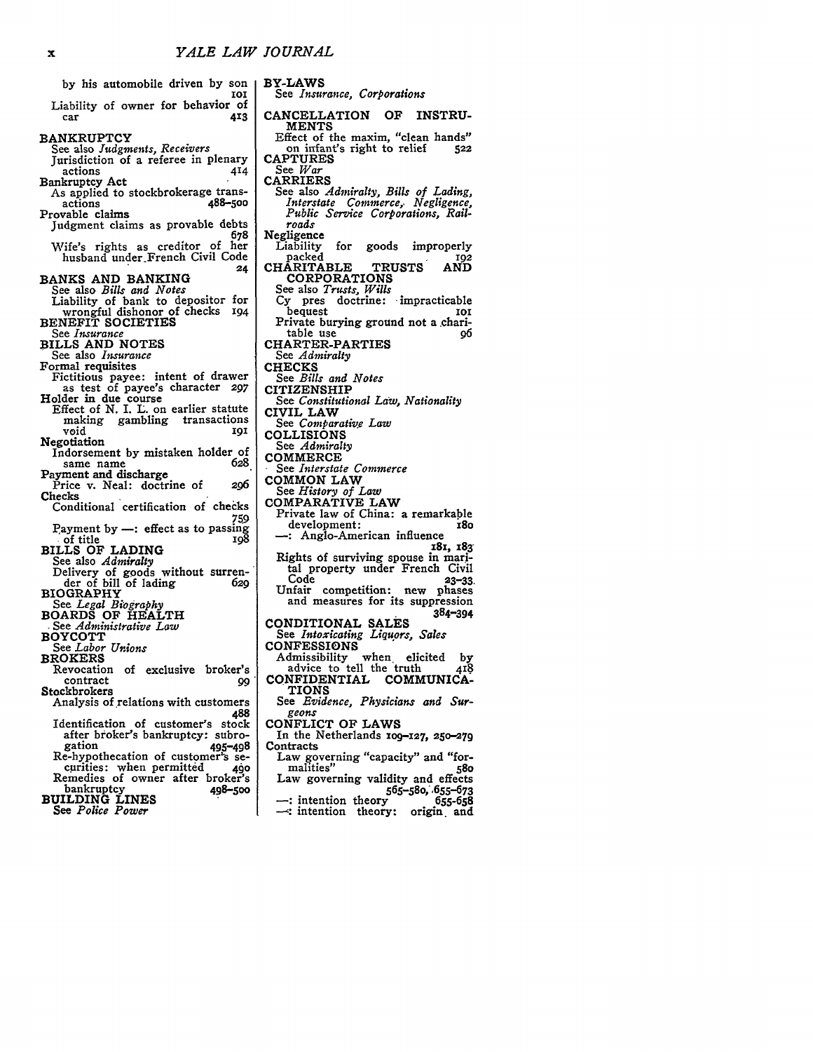BY-LAWS

**MENTS**

See *Insurance, Corporations*

CANCELLATION OF INSTRU-

Effect of the maxim, "clean hands" on infant's right to relief **<sup>522</sup>**

| by his automobile driven by son                                                                   |
|---------------------------------------------------------------------------------------------------|
| 10I<br>Liability of owner for behavior of<br>413<br>car                                           |
| <b>BANKRUPTCY</b>                                                                                 |
| See also Judgments, Receivers<br>Jurisdiction of a referee in plenary                             |
| actions<br>414<br><b>Bankruptcy Act</b><br>As applied to stockbrokerage trans-                    |
| 488–500<br>actions<br>Provable claims<br>Judgment claims as provable debts                        |
| 678<br>Wife's rights as creditor of<br>her<br>husband under French Civil Code                     |
| 24<br>BANKS AND BANKING                                                                           |
| See also <i>Bills and Notes</i><br>Liability of bank to depositor for                             |
| wrongful dishonor of checks 194<br><b>BENEFIT SOCIETIES</b>                                       |
| See <i>Insurance</i>                                                                              |
| <b>BILLS AND NOTES</b><br>See also <i>Insurance</i>                                               |
| Formal requisites<br>Fictitious payee: intent of drawer                                           |
| as test of payee's character 297<br>Holder in due course<br>Effect of N. I. L. on earlier statute |
| gambling transactions<br>making<br>void<br>191                                                    |
| Negotiation<br>Indorsement by mistaken holder of                                                  |
| 628<br>same name<br>Payment and discharge                                                         |
| Price v. Neal: doctrine of<br>206<br>Checks                                                       |
| Conditional certification of checks<br>759                                                        |
| Payment by -: effect as to passing<br>of title .<br>198                                           |
| <b>BILLS OF LADING</b><br>See also Admiralty                                                      |
| Delivery of goods without surren-<br>der of bill of lading<br>629<br><b>BIOGRAPHY</b>             |
| See Legal Biography<br><b>BOARDŠ OF HEALTH</b>                                                    |
| See Administrative Law<br><b>BOYCOTT</b>                                                          |
| See Labor Unions<br><b>BROKERS</b>                                                                |
| Revocation<br>of exclusive broker's<br>contract                                                   |
| 99<br>Stockbrokers<br>Analysis of relations with customers                                        |
| 488<br>Identification of customer's<br>stock<br>after broker's bankruptcy: subro-<br>gation       |
| 495–498<br>Re-hypothecation of customer's se-                                                     |
| curities: when permitted<br>490<br>Remedies of owner after broker's                               |
| bankruptcy<br>498–500<br><b>BUILDING LINES</b>                                                    |

*See Police Power*

- **CAPTURES** See *War* CARRIERS See also *Admiralty, Bills of Lading, Interstate Commerce,. Negligence, Public Service Corporations, Railroads* Negligence for goods improperly<br>102 packed 192 CHARITABLE **TRUSTS AND** CORPORATIONS See also *Trusts, Wills* **Cy** pres doctrine: .impracticable bequest **ioi** Private burying ground not a .charitable use 96 CHARTER-PARTIES See *Admiralty* **CHECKS** See *Bills and Notes* CITIZENSHIP See *Constitutional Law, Nationality* CIVIL LAW *See Comparative Law* COLLISIONS See *Admiralty*<br>COMMERCE See *Interstate Commerce* COMMON LAW See *History of Law* COMPARATIVE LAW Private law of China: a remarkable development: **I8o** -: Anglo-American influence **18x, 183** Rights **of** surviving spouse in **mari**tal property under French Civil Code **23-33.** Unfair competition: new phases and measures for its suppression 384-394 CONDITIONAL **SALES** See *Intoxicating Liquors, Sales* **CONFESSIONS** Admissibility when elicited **by** advice to tell the truth 418 CONFIDENTIAL COMMUNICA-**TIONS** See *Evidence, Physicians and Sur*geons CONFLICT **OF** LAWS In the Netherlands **109-X27, 250-279 Contracts** Law governing "capacity" and "for-<br>malities" 580 malities" **580** Law governing validity and effects 565-58o, , 655-673 **-:** intention theory **655-658** intention theory: origin and
-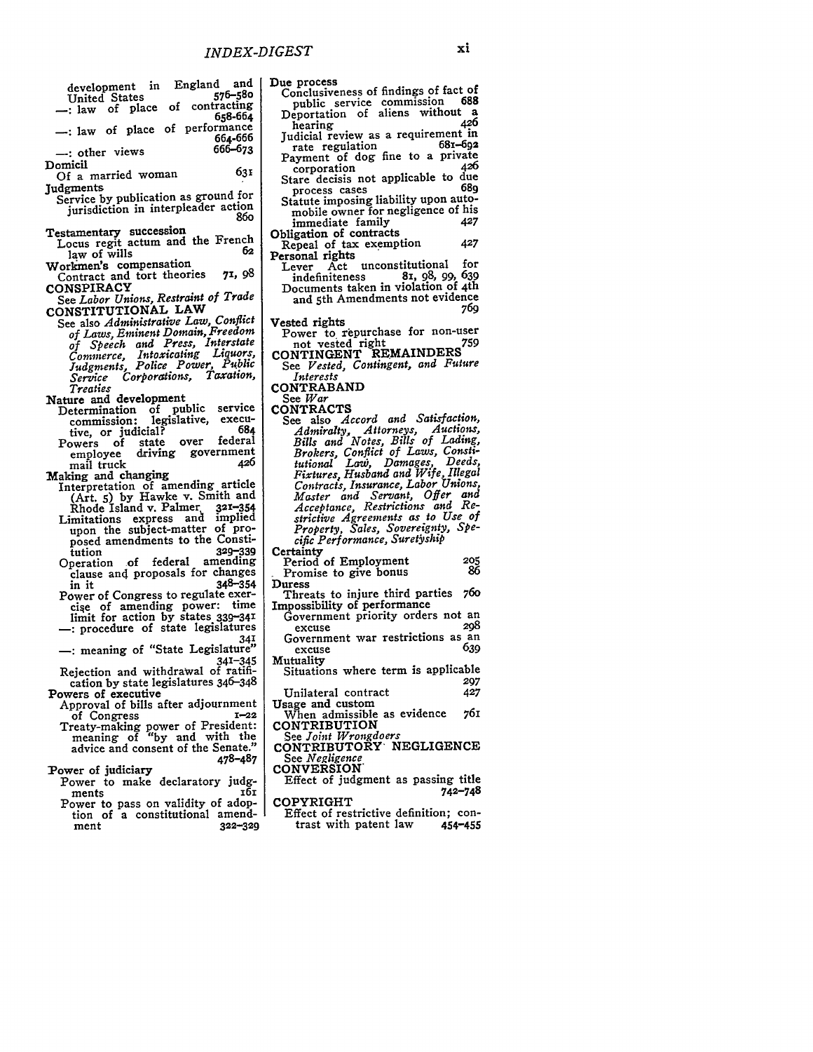| development in England and                                           | Due process                                                               |
|----------------------------------------------------------------------|---------------------------------------------------------------------------|
| 576–580<br>United States                                             | Conclusiveness of findings of fact of<br>688<br>public service commission |
| -: law of place of contracting<br>658-664                            | Deportation of aliens without a                                           |
| -: law of place of performance                                       | 426<br>hearing                                                            |
| 664-666                                                              | Judicial review as a requirement in<br>681–602                            |
| 666-673<br>-: other views                                            | rate regulation<br>Payment of dog fine to a private                       |
| Domicil<br>631                                                       | 426<br>corporation                                                        |
| Of a married woman                                                   | Stare decisis not applicable to due                                       |
| Judgments<br>Service by publication as ground for                    | 680<br>process cases<br>Statute imposing liability upon auto-             |
| jurisdiction in interpleader action                                  | mobile owner for negligence of his                                        |
| 860                                                                  | 427<br>immediate family                                                   |
| Testamentary succession<br>Locus regit actum and the French          | Obligation of contracts<br>427                                            |
| 62<br>law of wills                                                   | Repeal of tax exemption<br>Personal rights                                |
| Workmen's compensation                                               | Lever Act unconstitutional<br>for                                         |
| 71, 98<br>Contract and tort theories                                 | 81, 98, 99, 639<br>indefiniteness                                         |
| <b>CONSPIRACY</b><br>See Labor Unions, Restraint of Trade            | Documents taken in violation of 4th<br>and 5th Amendments not evidence    |
| CONSTITUTIONAL LAW                                                   | 76q                                                                       |
| See also Administrative Law, Conflict                                | Vested rights                                                             |
| of Laws, Eminent Domain, Freedom                                     | Power to repurchase for non-user                                          |
| of Speech and Press, Interstate                                      | not vested right<br>759<br>CONTINGENT REMAINDERS                          |
| Commerce, Intoxicating Liquors,<br>Judgments, Police Power, Public   | See Vested, Contingent, and Future                                        |
| Service Corporations, Taxation,                                      | Interests                                                                 |
| Treaties                                                             | CONTRABAND<br>See <i>War</i>                                              |
| Nature and development<br>Determination of public service            | <b>CONTRACTS</b>                                                          |
| execu-<br>commission: legislative,                                   | See also Accord and Satisfaction,                                         |
| 684<br>tive, or judicial?<br>federal                                 | Admiralty, Attorneys, Auctions,                                           |
| over<br>Powers of state<br>driving government<br>employee            | Bills and Notes, Bills of Lading,<br>Brokers, Conflict of Laws, Consti-   |
| 426<br>mail truck                                                    | tutional Law, Damages, Deeds,                                             |
| Making and changing                                                  | Fixtures, Husband and Wife, Illegal                                       |
| Interpretation of amending article<br>(Art. 5) by Hawke v. Smith and | Contracts, Insurance, Labor Unions,<br>Master and Servant, Offer and      |
| Rhode Island v. Palmer<br>$321 - 354$                                | Acceptance, Restrictions and Re-                                          |
| implied<br>Limitations express and                                   | strictive Agreements as to Use of                                         |
| upon the subject-matter of pro-                                      | Property, Sales, Sovereignty, Spe-<br>cific Performance, Suretyship       |
| posed amendments to the Consti-<br>$329 - 339$<br>tution             | Certainty                                                                 |
| Operation of federal amending                                        | 205<br>Period of Employment                                               |
| clause and proposals for changes                                     | 86<br>Promise to give bonus                                               |
| $348 - 354$<br>in it<br>Power of Congress to regulate exer-          | Duress<br>760<br>Threats to injure third parties                          |
| cise of amending power: time                                         | Impossibility of performance                                              |
| limit for action by states 339-341                                   | Government priority orders not an                                         |
| -: procedure of state legislatures<br>341                            | 208<br>excuse<br>Government war restrictions as an                        |
| -: meaning of "State Legislature"                                    | 639<br>excuse                                                             |
| 341-345                                                              | Mutuality                                                                 |
| Rejection and withdrawal of ratifi-                                  | Situations where term is applicable<br>297                                |
| cation by state legislatures 346-348<br>Powers of executive          | 427<br>Unilateral contract                                                |
| Approval of bills after adjournment                                  | Usage and custom                                                          |
| $1 - 22$<br>of Congress                                              | 761<br>When admissible as evidence<br>CONTRIBUTION                        |
| Treaty-making power of President:<br>meaning of "by and with the     | See Joint Wrongdoers                                                      |
| advice and consent of the Senate."                                   | CONTRIBUTORY NEGLIGENCE                                                   |
| 478–487                                                              | See Negligence                                                            |
| Power of judiciary                                                   | <b>CONVERSION</b><br>Effect of judgment as passing title                  |
| Power to make declaratory judg-<br>ments<br>161                      | 742–748                                                                   |
| Power to pass on validity of adop-                                   | COPYRIGHT                                                                 |
| tion of a constitutional amend-                                      | Effect of restrictive definition; con-                                    |
| ment<br>$322 - 329$                                                  | trast with patent law<br>454-455                                          |
|                                                                      |                                                                           |
|                                                                      |                                                                           |

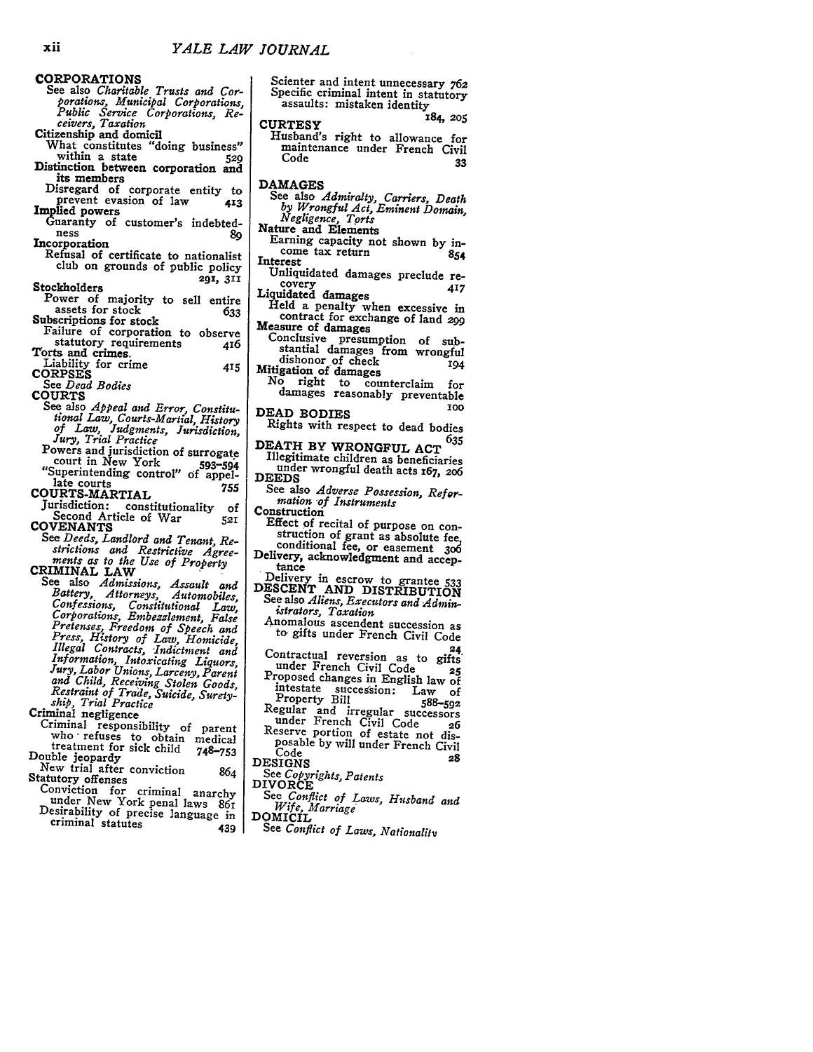CORPORATIONS See also *Charitable Trusts and Corporation s, Municipal Corporations, Public Service Corporations, Re-ceivers, Taxation* Citizenship and domicil What constitutes "doing business"<br>within a state 529 Distinction between corporation and its members Disregard of corporate entity to<br>prevent evasion of law 413 Implied powers<br>
Guaranty of customer's indebted-<br>
ness<br>
Incorporation 89

Refusal of certificate to nationalist<br>club on grounds of public policy Stockholders **291, 311**

Power of majority to sell entire<br>assets for stock 633

- **Subscriptions for stock**<br>**633** Failure of corporation to observe<br>tatutory requirements 416 statutory requirements<br>Torts and crimes.
- Liability for crime **<sup>415</sup> CORPSES** See *Dead Bodies*

**COURTS**

- See also *Appeal and Error, Constitu- tional Law, Courts-Martial, History of Law, Judgments, Jurisdiction, Jury, Trial Practice*
- Powers and jurisdiction of surrogate<br>
court in New York 593-594 court in New York 593-594<br>
"Superintending control" of appel-<br>
late courts<br>
T55

COURTS-MARTIAL

Jurisdiction: constitutionality of Second Article of War **<sup>521</sup>** COVENANTS<br>See Deeds, Landlord and Tenant, Re-

Strictions and Restrictive Agreements as to the Use of Property<br>
ments as to the Use of Property<br>
CRIMINAL LAW<br>
See also Admissions, Assault and<br>
Battery, Attorneys, Automobiles,<br>
Corporations, Embezzlement, False<br>
Pretens and Child, Receiving Stolen Goods,<br>Restraint of Trade, Suicide, Surety-<br>State, Trial Practice<br>Criminal negligence<br>Criminal responsibility of parent

who refuses to obtain medical<br>treatment for sick child 748-753<br>Double jeopardy<br>New trial after conviction 864<br>Statutory offenses<br>Conviction for criminal anarchy

- 
- under New York penal laws 861<br>Desirability of precise language in criminal statutes 439
- 

Scienter and intent unnecessary **762** Specific criminal intent in statutory<br>assaults: mistaken identity<br>----------

CURTESY **184, 205** Husband's right to allowance for maintenance under French Civil Code **<sup>33</sup> DAMAGES** See also *Admiralty, Carriers, Death by Wrongful Act, Eminent Domain, Negligence, Torts*

Nature and Elements

- Earning capacity not shown by in-<br>come tax return 854<br>Interest<br>Unliquidated damages preclude re-
- 
- Examples preclude re-<br>
Uniquidated damages<br>
Held a penalty when excessive in<br>  $\frac{17}{2}$  contract for exchange of land 299
- contract for exchange of land *299*<br>Measure of damages<br>Conclusive presumption of sub-
- stantial damages from wrongful dishonor of check<br>Mitigation of damages<br>No right to counterclaim
- dishonor of check **194**<br>gation of damages<br>o right to counterclaim for<br>damages reasonably preventable **DEAD BODIES 1o0**
- 
- Rights with respect to dead bodies

DEATH BY WRONGFUL **<sup>635</sup>** Illegitimate children as beneficiaries under wrongful death acts **x67, 2o6 DEEDS**

See also *Adverse Possession*, Refor-<br>*mation of Instruments* 

Construction<br>Effect of recital of purpose on construction of grant as absolute fee, conditional fee, or easement 306

conditional fee, or easement 306<br>Delivery, acknowledgment and accep-

- tance<br>
Delivery in escrow to grantee 533<br>
DESCENT AND DISTRIBUTION<br>
See also *Aliens, Executors and Admin*
	- *istrators, Taxation*
	- to gifts under French Civil Code<br>24
	-
	- Contractual reversion as to gifts<br>
	under French Civil Code<br> **25**<br>
	Proposed changes in English law of<br>
	intestate succession: Law of<br>
	Property Bill<br>
	588-592 Regular and irregular successors<br>
	under French Civil Code<br>
	Reserve portion of estate not dis-<br>
	posable by will under French Civil<br>
	Code<br>
	28<br>
	28
- **DESIGNS 28**
- 
- See *Copyrights, Patents* DIVORCE
- See *Conflict of Laws, Husband and Wife, Marriage'* DOMICIL
- - See *Conflict of Laws, Nationality*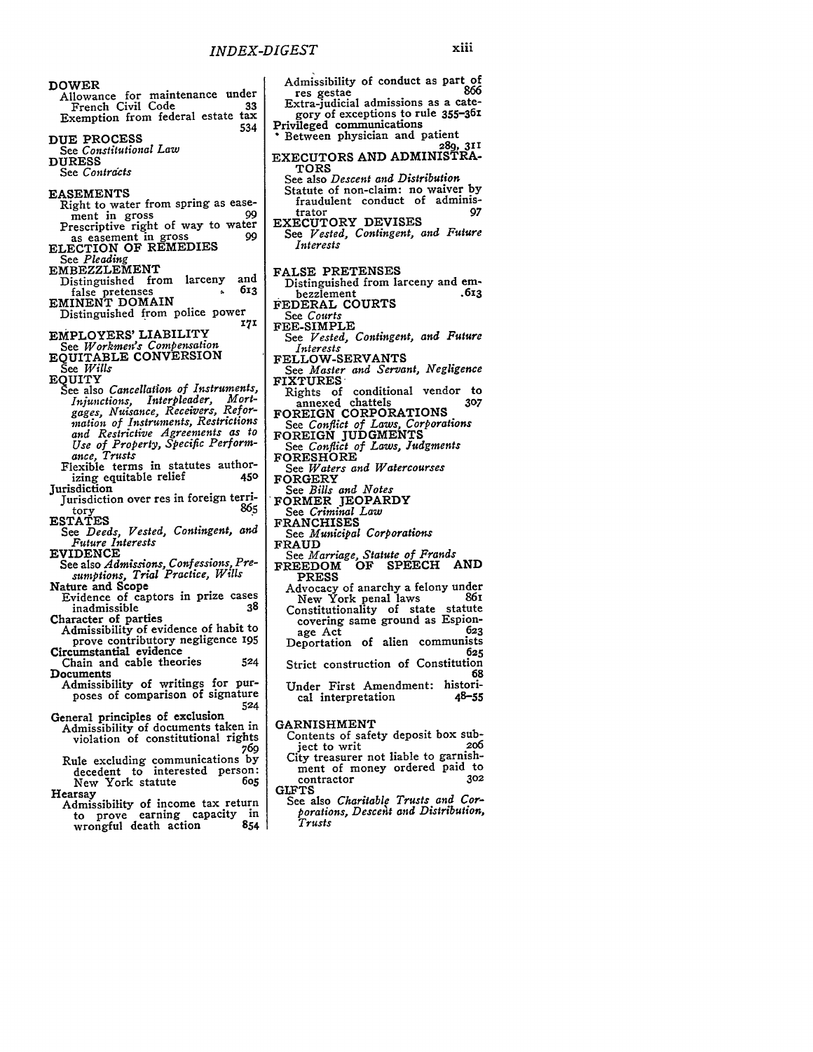534

DOWER Allowance for maintenance under French Civil Code **33** Exemption from federal estate tax **DUE** PROCESS See *Constitutional Law* **DURESS** See *Contracts* **EASEMENTS** Right to water from spring as ease-<br>ment in gross ment in gross 99 Prescriptive right of way to water as easement in gross 99<br> **ELECTION OF REMEDIES**<br>
See *Pleading* EMBEZZLEMENT Distinguished from larceny and<br>false pretenses false pretenses **613**<br>
EMINENT DOMAIN Distinguished from police power*'7'* EMPLOYERS' LIABILITY See *Workmen's Compensation*<br>EQUITABLE CONVERSION See *Wills* EQUITY See also *Cancellation of Instruments, Injunctions, Interpleader, Mortgages, Nuisance, Receivers, Refor-mation of Instruments, Restrictions and Restrictive Agreements as to Use of Property, Specific Perform-ance, Trusts* Flexible terms in statutes authorizing equitable relief **450 Jurisdiction** Jurisdiction over res **in** foreign territory **865 ESTATES** See *Deeds, Vested, Contingent, and Future Interests* EVIDENCE See also *Admissions, Confessions, Presumptions, Trial Practice, Wills* Nature and Scope Evidence of captors in prize cases inadmissible **38** Character of parties Admissibility of evidence of habit to prove contributory negligence 195 Circumstantial evidence Chain and cable theories **524** Documents Admissibility of writings for purposes of comparison of signature **<sup>524</sup>** General principles of exclusion Admissibility of documents taken in violation of constitutional rights *<sup>769</sup>*

- Rule excluding communications **by** decedent to interested person: New York statute **605** Hearsay
- Admissibility of income tax return to prove earning capacity in wrongful death action 854

| Admissibility of conduct as part of<br>866                                                              |
|---------------------------------------------------------------------------------------------------------|
| res gestae                                                                                              |
| Extra-judicial admissions as a cate-                                                                    |
| gory of exceptions to rule 355-361                                                                      |
| Privileged communications                                                                               |
| Between physician and patient                                                                           |
|                                                                                                         |
| 289, 311<br>EXECUTORS AND ADMINISTRA-                                                                   |
| <b>TORS</b>                                                                                             |
| See also Descent and Distribution                                                                       |
|                                                                                                         |
| Statute of non-claim: no waiver by<br>fraudulent conduct of adminis-                                    |
| 97<br>trator                                                                                            |
| EXECUTORY DEVISES<br>See Vested, Contingent, and Future                                                 |
|                                                                                                         |
| Interests                                                                                               |
|                                                                                                         |
|                                                                                                         |
| FALSE PRETENSES                                                                                         |
| Distinguished from larceny and em-                                                                      |
| .613<br>bezzlement                                                                                      |
| FEDERAL COURTS                                                                                          |
| See Courts                                                                                              |
| <b>FEE-SIMPLE</b>                                                                                       |
| See Vested, Contingent, and Future                                                                      |
|                                                                                                         |
| Interests<br>FELLOW-SERVANTS                                                                            |
|                                                                                                         |
| See Master and Servant, Negligence<br>FIXTURES                                                          |
|                                                                                                         |
|                                                                                                         |
| Rights of conditional vendor to<br>annexed chattels 307                                                 |
| FOREIGN CORPORATIONS                                                                                    |
| See Conflict of Laws, Corporations<br>FOREIGN JUDGMENTS<br>See Conflict of Laws, Judgments<br>FORESHORE |
|                                                                                                         |
|                                                                                                         |
|                                                                                                         |
| See Waters and Watercourses                                                                             |
| FORGERY                                                                                                 |
| See Bills and Notes<br>FORMER JEOPARDY                                                                  |
|                                                                                                         |
|                                                                                                         |
|                                                                                                         |
| See <i>Criminal Law</i>                                                                                 |
| <b>FRANCHISES</b>                                                                                       |
| See Municipal Corporations                                                                              |
| <b>FRAUD</b>                                                                                            |
| See Marriage, Statute of Frands                                                                         |
| FREEDOM OF SPEECH AND                                                                                   |
| <b>PRESS</b>                                                                                            |
| Advocacy of anarchy a felony under                                                                      |
| New York penal laws<br>861                                                                              |
| Constitutionality of state statute                                                                      |
| covering same ground as Espion-                                                                         |
| 623<br>age Act                                                                                          |
|                                                                                                         |
| Deportation of alien communists<br>625                                                                  |
|                                                                                                         |
| Strict construction of Constitution<br>68                                                               |
| Under First Amendment: histori-                                                                         |
| $48 - 55$<br>cal interpretation                                                                         |
|                                                                                                         |
| <b>GARNISHMENT</b>                                                                                      |

- Contents of safety deposit box subject to writ **206** expect to writ<br>City treasurer not liable to garnishment of money ordered paid to contractor **302 GIFTS**
- See also *Charitable Trusts and Corporations, Descent* and *Distribution, Trusts*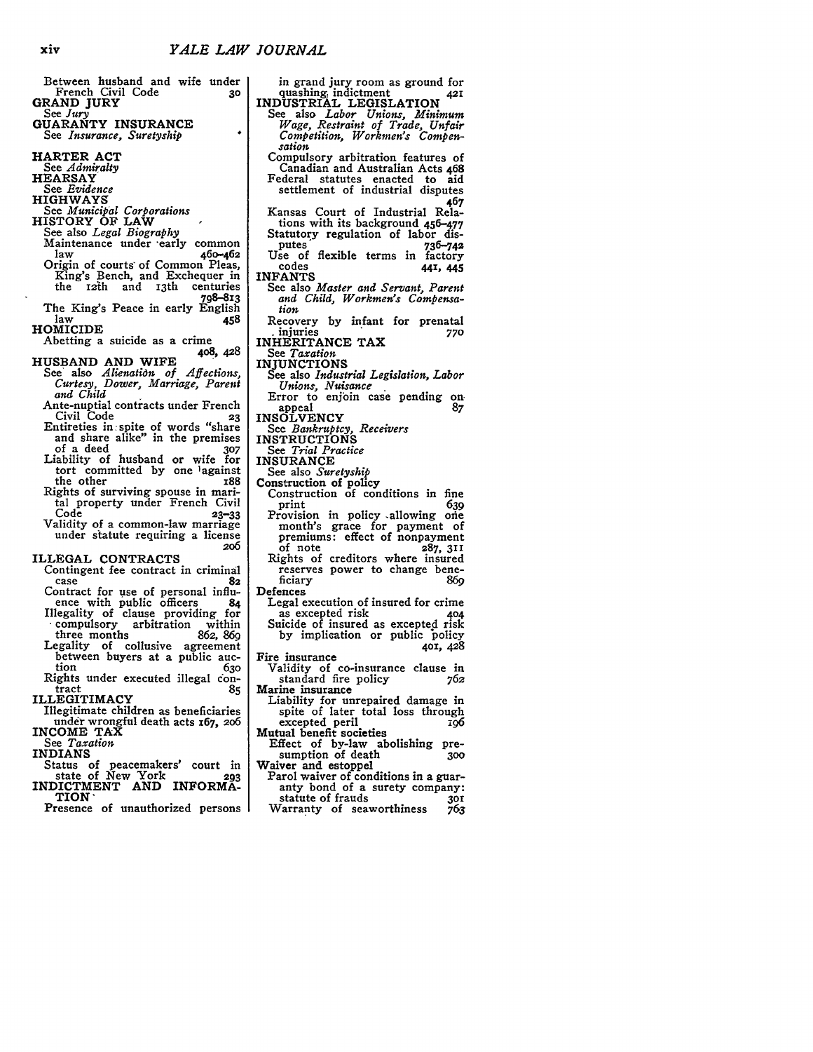Between husband and wife under French Civil Code **GRAND** JURY See *Jury* **GUARANTY INSURANCE** *See Insurance, Suretyship* HARTER **ACT** See *Admiralty* HEARSAY See *Evidence* HIGHWAYS See *Municipal Corporations* HISTORY OF LAW See also *Legal Biography* Maintenance under -early common law **460-462** Origin of courts of Common Pleas, King's Bench, and Exchequer in the **121h** and I3th centuries **798-813** The King's Peace in early English<br>law 458  $\frac{1}{458}$ HOMICIDE Abetting a suicide as a crime **408,** *428* **HUSBAND AND** WIFE See' also *Alienatidn of Affections, Curtesy, Dower, Marriage, Parent and Child* Ante-nuptial contracts under French Civil Code **23** Entireties in spite of words "share and share alike" in the premises of a deed **307** Liability of husband or wife for tort committed **by** one )against the other **188** Rights of surviving spouse in marital property under French Civil Code **23-33** Validity of a common-law marriage under statute requiring a license **2o6** ILLEGAL **CONTRACTS** Contingent fee contract in criminal case **<sup>82</sup>** Contract for use of personal influ-<br>ence with public officers 84 Illegality of clause providing for compulsory arbitration within<br>three months 862, 869 three months Legality of collusive agreement between buyers at a public auc- tion *<sup>630</sup>* Rights under executed illegal con- tract **<sup>85</sup>** ILLEGITIMACY Illegitimate children as beneficiaries under wrongful death acts **x67, 2o6 INCOME** TAX See *Taxation* INDIANS Status of peacemakers' court in state of New York **293** state of New York<br>INDICTMENT AND **INFORMA-**TION' Presence of unauthorized persons

in grand jury room as ground for quashing, indictment INDUSTRIAL LEGISLATION See also *Labor Unions, Minimum Wage, Restraint of Trade, Unfair Competition, Workmen's Compensation* Compulsory arbitration features of Canadian and Australian Acts 468 Federal statutes enacted to aid settlement of industrial disputes **467** Kansas Court of Industrial Relations with its background 456-477 Statutory regulation of labor disputes **736-742** Use of flexible terms in factory codes **44I, 445 INFANTS** See also *Master and Servant, Parent and Child, Workmen's Compensation* Recovery **by** infant for prenatal **.** injuries **770** INHERITANCE TAX See *Taxation* INJUNCTIONS See also *Industrial Legislation, Labor Unions, Nuisance* Error to enjoin case pending on. appeal 87<br> **INSOLVENCY** See *Bankruptcy, Receivers* INSTRUCTIONS See *Trial Practice* **INSURANCE** See also *Suretyship* Construction of policy Construction of conditions in fine print **639** Provision in policy .allowing oie month's grace for payment of premiums: effect of nonpayment of note **287, 311** of note 287, 311<br>Rights of creditors where insured reserves power to change bene-<br>ficiary 860 ficiary **869** Defences Legal execution of insured for crime as excepted risk **<sup>404</sup>** Suicide of insured as excepted risk **by** implication or public policy **401,** *428* Fire insurance Validity of co-insurance clause in standard fire policy *762* Marine insurance Liability for unrepaired damage in spite of later total loss through excepted peril **196** Mutual benefit societies Effect of by-law abolishing presumption of death Waiver and estoppel

- Parol waiver of conditions in a guaranty bond of a surety company: statute of frauds **3O**
- Warranty of seaworthiness **763**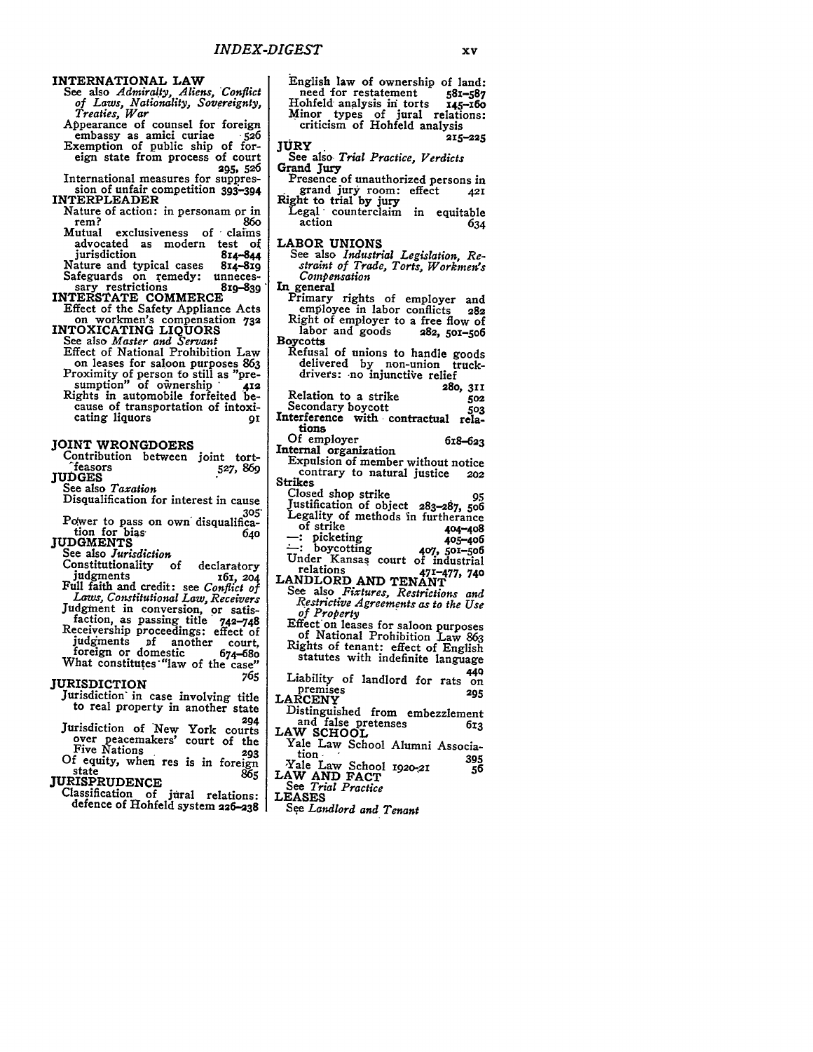## **INTERNATIONAL LAW**

**See also** *Admiralty, Aliens, Conflict of Laws, Nationality, Sovereignty, Treaties, War*

Appearance of counsel for foreign embassy as amici curiae **-526** Exemption of public ship of foreign state from process of court <sup>2</sup>95, 526<br>International measures for suppres-

International measures for suppres- sion of unfair competition 393-394 **INTERPLEADER**

Nature of action: in personam or in<br>rem? 860 rem? **86o** Mutual exclusiveness of **,** claims

advocated as modern test **of** jurisdiction 814-844<br>ature and typical cases 814-819 Nature and typical cases **814-8i9** Safeguards on remedy: unneces-<br>
sary restrictions **819-839**<br> **INTERSTATE COMMERCE** 

Effect of the Safety Appliance Acts on workmen's compensation **<sup>732</sup>**

INTOXICATING LIQUORS See also *Master and Servant* Effect of National Prohibition Law on leases for saloon purposes **<sup>863</sup>** Proximity of person to still as "pre- sumption" of o\*nership **- <sup>412</sup>** Rights in automobile forfeited be- cause of transportation of intoxicating liquors **91** 

## **JOINT WRONGDOERS**

| . .<br>.<br>Contribution between joint tort- |          |
|----------------------------------------------|----------|
| <b>feasors</b><br><b>JUDGES</b>              | 527, 869 |
| See also Taxation                            |          |

Disqualification for interest in cause **3o5'** Power to pass on own disqualifica-

tion for bias- **640 JUDGMENTS**

- See also *Jurisdiction* Constitutionality of declaratory<br> *z* judgments *zo4* Full faith and credit: see *Conflict of Laws, Constitutional Law, Receivers* Judgment in conversion, or satisfaction, as passing title 742-748 Receivership proceedings: effect **of** judgments of another court,<br>foreign or domestic 674-680
- What constitutes "law of the case" **765**

JURISDICTION

Jurisdiction' in case involving title to real property in another state

**<sup>294</sup>** Jurisdiction of New York courts over peacemakers' court of the Five Nations **293**

Of equity, when res is in foreign state **865**

state<br>JURISPRUDENCE

Classification of jural relations: defence **of** Hohfeld system **226-238**

English law of ownership of land:<br>need for restatement 581-587 need for restatement 581-587<br>[ohfeld analysis in torts 145-160 Hohfeld' analysis in torts **145-x6o** Minor types of jural relations: criticism of Hohfeld analysis<br>**215-225**<br>**XI5-225** See also. *Trial Practice, Verdicts* Grand Jury Presence of unauthorized persons in grand jury room: effect **42I Right** to trial **by jury** Legal counterclaim in equitable<br>action 634 LABOR UNIONS See also *Industrial Legislation, Restraint of Trade, Torts, Workmen's Compensation* In general Primary rights of employer and<br>employee in labor conflicts 282 employee in labor conflicts **<sup>282</sup>** Right of employer to a free flow of<br>labor and goods 282, 501-506 labor and goods Boycotts Refusal of unions to handle goods delivered **by** non-union truckdrivers: no injunctive relief **280, 311** Relation to a strike 502<br>Secondary boycott 503 Interference with contractual relations Of employer 6x8-623 Internal organization **Expulsion of member** without notice contrary to natural justice **<sup>202</sup>** Strikes<br>Closed shop strike Closed shop strike **95** Justification of object **283-287, 5o6** Legality of methods in furtherance<br>of strike 404-408 picketing **405-406**<br>c: boycotting **407, 501-506** boycotting **407, 5O-506** Under Kansas court of industrial relations **471-477, 740** LANDLORD **AND TENANT** See also *Fixtures, Restrictions and Restrictive Agreements as to the Use of Property* Effecton leases for saloon purposes of National Prohibition Law **<sup>863</sup>** Rights of tenant: effect of English statutes with indefinite language <sup>449</sup> Liability of landlord for rats on premises **<sup>295</sup>** premises<br>LARCENY Distinguished from embezzlement and false pretenses **613** LAW **SCHOOL** Yale Law School Alumni Association. **<sup>395</sup>** 'Yale Law School **1920-21** LAW **AND FACT** See *Trial Practice* **LEASES** *See Landlord and Tenant*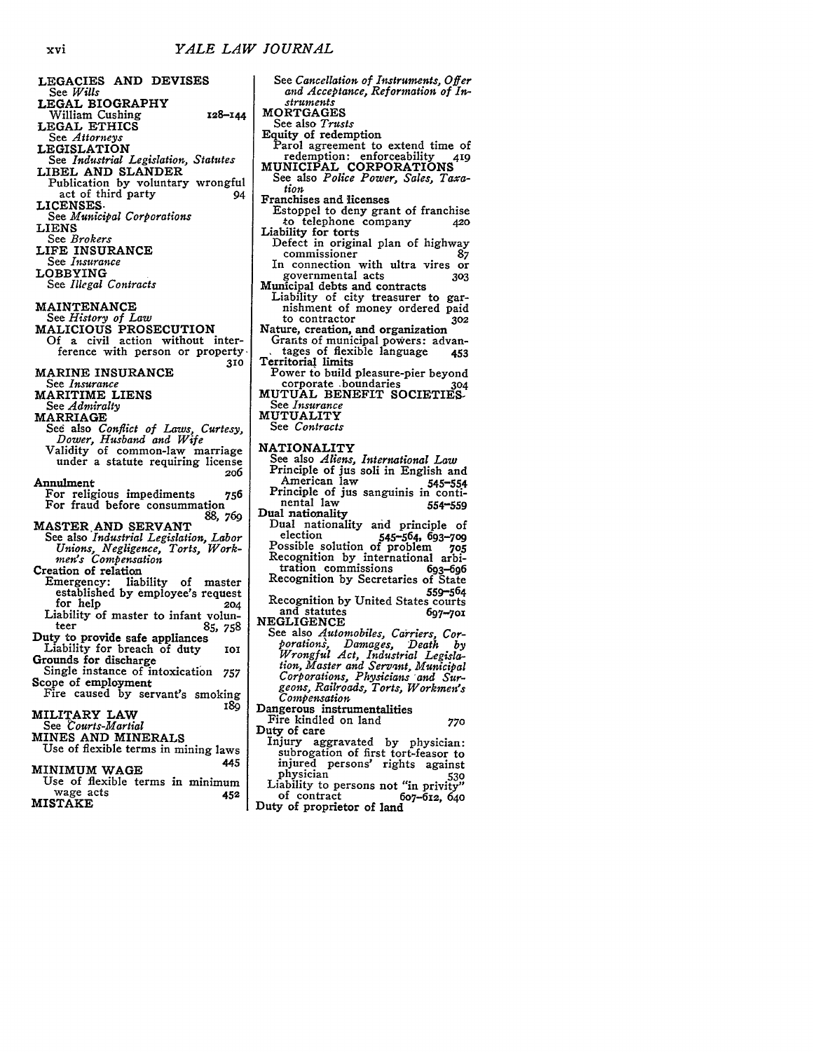LEGACIES **AND** DEVISES See *Wills* LEGAL BIOGRAPHY William Cushing **128-144 LEGAL** ETHICS See *Attorneys* LEGISLATION See *Industrial Legislation, Statutes* LIBEL **AND SLANDER** Publication **by** voluntary wrongful act of third party 94 **LICENSES.** See *Municipal Corporations* LIENS See *Brokers* LIFE **INSURANCE** See *Insurance* LOBBYING See *Illegal Contracts* **MAINTENANCE** See *History of Law* MALICIOUS PROSECUTION **Of** a civil action without interference with person or property **310** MARINE **INSURANCE** See *Insurance* MARITIME LIENS See *Admiralty* MARRIAGE Sed also *Conflict of Laws, Curtesy, Dower, Husband and Wife* Validity of common-law marriage under a statute requiring license **2o6** Annulment For religious impediments 756 For fraud before consummation *88, 769* **MASTER.AND** SERVANT See also *Industrial Legislation, Labor Unions, Negligence, Torts, Work-men's Compensation* Creation of relation Emergency: liability of master established by employee's request<br>for help 204 Liability of master to infant volunteer **85,** 758 teer 85, 758<br>Duty to provide safe appliances<br>Liability for breach of duty 101<br>Grounds for discharge Single instance of intoxication 757 Scope of employment Fire caused by servant's smoking<br>180 MILITARY LAW See *Courts-Martial* MINES **AND** MINERALS Use of flexible terms in mining laws 445 MINIMUM **WAGE** Use of flexible terms in minimum wage acts **452**

| <b>MISTAKE</b> |  |  |
|----------------|--|--|
|                |  |  |

See *Cancellation of Instruments, Offer and Acceptance, Reformation of Instruments* **MORTGAGES** See also *Trusts* Equity of redemption Parol agreement to extend time of redemption: enforceability 419 MUNICIPAL CORPORATIONS See also *Police Power, Sales, Taxation* Franchises and licenses Estoppel to deny grant of franchise<br>to telephone company 420 to telephone company Liability for torts Defect in original plan of highway commissioner **87** In connection with ultra vires or governmental acts **<sup>303</sup>** Municipal debts and contracts<br>Liability of city treasurer to garnishment of money ordered paid<br>to contractor 302 to contractor Nature, creation, and organization Grants of municipal powers: advan-<br>tages of flexible language 453 tages of flexible language 453 Territorial limits Power to build pleasure-pier beyond corporate ,boundaries **304 MUTUAL BENEFIT** SOCIETIES-See *Insurance* MUTUALITY See *Contracts* NATIONALITY See also *Aliens, International Law* Principle **of jus** soli in English and American law 545-554 Principle of **jus** sanguinis in continental law 554-559 Dual nationality Dual nationality and principle of election 545-564, **693-709** Possible solution of problem *705* Recognition by international arbi-<br>tration commissions 693-696 tration commissions 693-696 Recognition by Secretaries of State **559-564** Recognition **by** United States courts and statutes **697-7ox NEGLIGENCE** See also *Automobiles, Carriers, Corporations, Damages, Death by Wrongful Act, Industrial Legisla- tion, Master and Servant, Municipal Corporations, Physicians "and Surgeons, Railroads, Torts, Workmen's Compensation* Dangerous instrumentalities Fire kindled on land **770** 

Fire kindled on land 770<br>Duty of care<br>Injury aggravated by physician:<br>subrogation of first tort-feasor to

injured persons' rights against physician **<sup>530</sup>** Liability to persons not "in privity"<br>of contract<br>the 6o7-612, 640

Duty of proprietor **of** land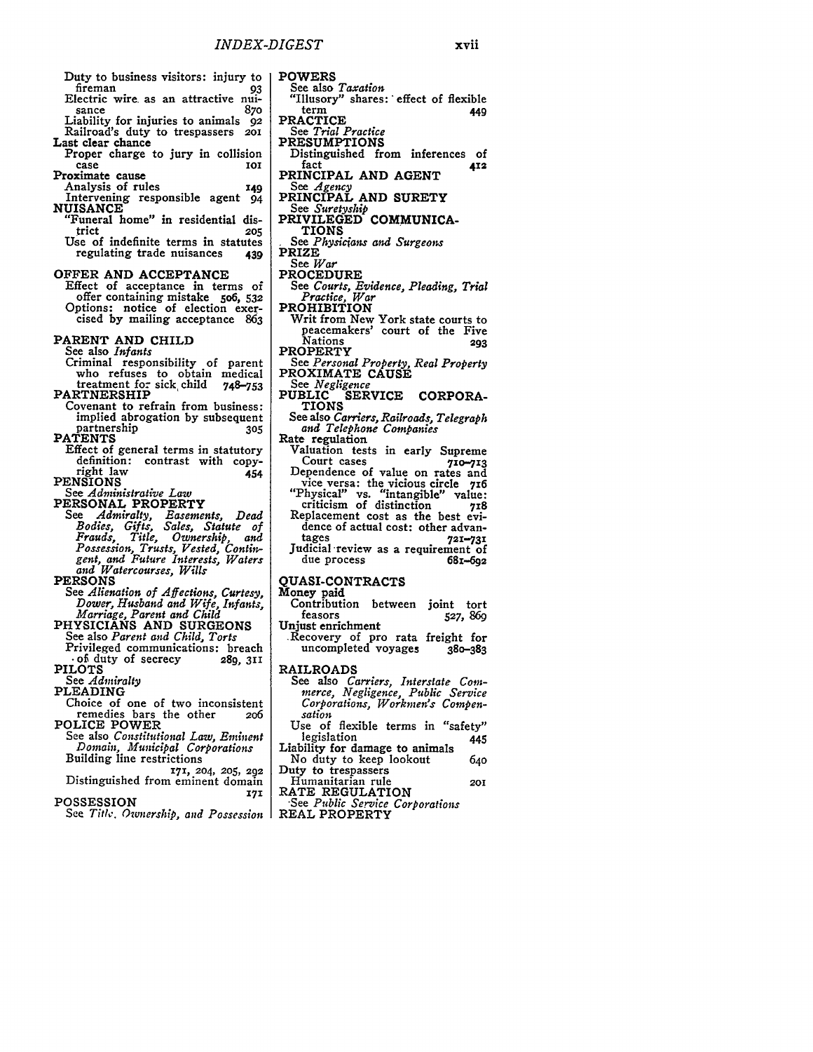Duty to business visitors: injury to fireman **93** Electric wire. as an attractive nui- sance 87o Liability for injuries to animals 92 Railroad's duty to trespassers **2oi** Last clear chance Proper charge to jury in collision case<br>**Proximate** cause Analysis of rules **149** Intervening responsible agent 94 **NUISANCE** "Funeral home" in residential dis-<br>trict 205 trict **205** Use of indefinite terms in statutes regulating trade nuisances **439** OFFER **AND ACCEPTANCE** Effect of acceptance in terms of offer containing mistake **5o6, 532** Options: notice of election exer- cised **by** mailing acceptance **<sup>863</sup>** PARENT **AND CHILD** See also *Infants* Criminal responsibility of parent<br>who refuses to obtain medical<br>treatment for sick child 748–753 treatment for sick child **748-753** PARTNERSHIP Covenant to refrain from business: implied abrogation **by** subsequent partnership **305 PATENTS** Effect of general terms in statutory<br>definition: contrast with copy-<br>right law 454 **PENSIONS** See *Administrative Law* **PERSONAL PROPERTY** *See Admiralty, Easements, Dead Bodies, Gifts, Sales, Statute of Frauds, Title, Ownership, and Possession, Trusts, Vested, Contingent, and Future Interests, Waters and Watercourses, Wills* **PERSONS** See *Alienation of Affections, Curtesy, Dower, Husband and Wife, Infants, Marriage, Parent and Child* **PHYSICIANS AND SURGEONS** See also *Parent and Child, Torts* Privileged communications: breach **,** of duty of secrecy **289, 311 PILOTS** See *Admiralty* PLEADING Choice of one of two inconsistent remedies bars the other *2o6* **POLICE POWER** See also *Constitutional Law, Eminent Domain, Municipal Corporations* Building line restrictions **171, 204, 205, 292** Distinguished from eminent domain **POSSESSION <sup>171</sup>**

See *Title. Ownership, and Possession*

**POWERS** See also *Taxation* "Illusory" shares: **-**effect of flexible term **449** PRACTICE See *Trial Practice* **PRESUMPTIONS** Distinguished from inferences of fact **412 PRINCIPAL AND AGENT** See *Agency* **PRINCIPAL AND SURETY** See *Suretyship* PRIVILEGED COMMUNICA-**TIONS** *See Physicians and Surgeons* **PRIZE** See *War* **PROCEDURE** See *Courts, Evidence, Pleading, Trial Practice, War* **PROHIBITION** Writ from New York state courts to peacemakers' court of the Five Nations **293 PROPERTY** See *Personal Property, Real Property* PROXIMATE CAUSE<br>See *Negligence* See *Negligence* **PUBLIC SERVICE CORPORA-TIONS See** also *Carriers, Railroads, Telegraph and Telephone Companies* Rate regulation Valuation tests in early Supreme Court cases **710-713** Dependence of value on rates and vice versa: the vicious circle **76** "Physical" vs. "intangible" value: criticism of distinction **718** Replacement cost as the best evidence of actual cost: other advan-<br>tages tages **721-731** Judicial-review as a requirement of due process **68.-692 QUASI-CONTRACTS oney** paid Contribution between joint tort<br>feasors 527, 860 feasors **527, 869** Unjust enrichment Recovery of pro rata freight for<br>uncompleted voyages 380-383 **RAILROADS** See also *Carriers, Interstate Commerce, Negligence, Public Service Corporations, Workmen's Compensation*

xvii

Use of flexible terms in "safety" legislation 445

Liability for damage to animals No duty to keep lookout 640

Duty to trespassers Humanitarian rule **201**

RATE REGULATION "See *Public Service Corporations*

REAL PROPERTY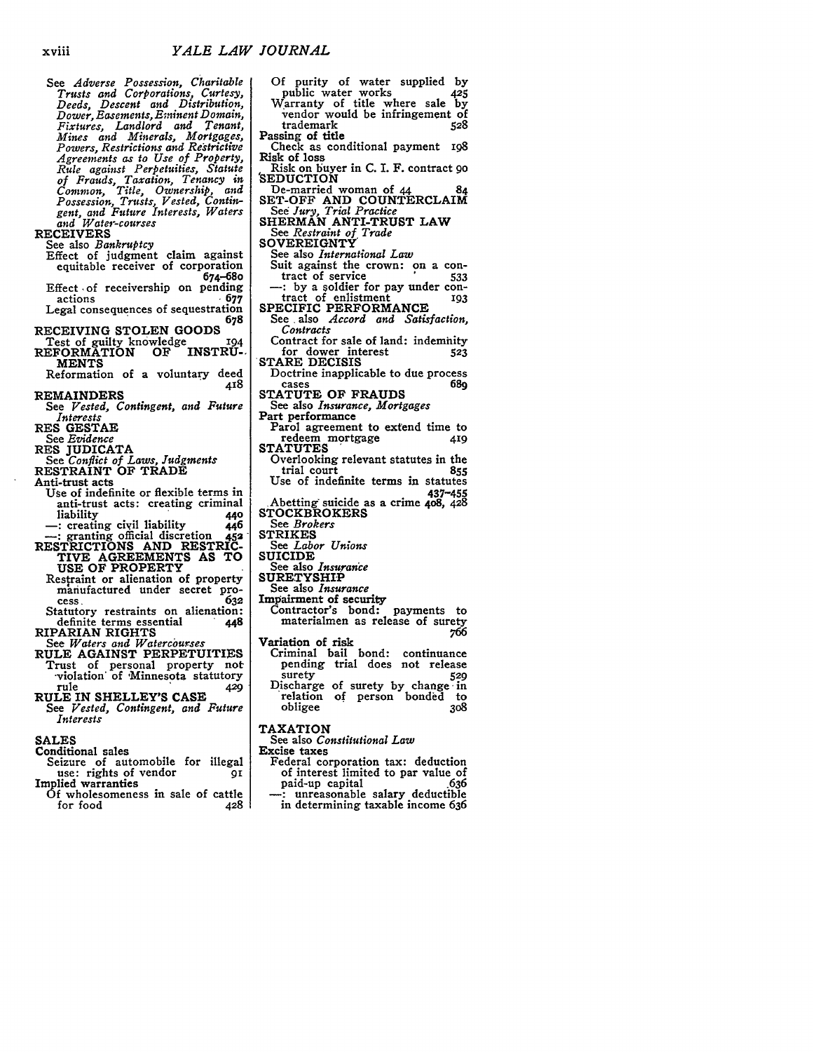See *Adverse Possession, Charitable Trusts and Corporations, Curtesy, Deeds, Descent and Distribution, Dower, Easements, Eminent Domain, Fixtures, Landlord and Tenant, Mines and Minerals, Mortgages, Powers, Restrictions and Rertrictive Agreements as to Use of Property, Rule against Perpetuities, Statute of Frauds, Taxation, Tenancy in Common, Title, Ownership, and Possession, Trusts, Vested, Contingent, and Future Interests, Waters and Water-courses*

**RECEIVERS** 

- See also *Bankruptcy* Effect of judgment claim against equitable receiver of corporation 674-680
- Effect of receivership on pending<br>677 677 actions **. 677** Legal consequences of sequestration **<sup>678</sup>**
- RECEIVING **STOLEN GOODS**
- Test of guilty knowledge 194<br>REFORMATION OF INSTRU-
- **MENTS** Reformation of a voluntary deed
- 418 REMAINDERS
- See *Vested, Contingent, and Future Interests*
- RES **GESTAE**
- See *Evidence*
- 
- RES JUDICATA See *Conflict of Laws, Judgments* RESTRAINT **OF** TRADE
- Anti-trust acts
- Use of indefinite or flexible terms in anti-trust acts: creating criminal<br>liability 140 liability **440**<br>creating civil liability **446** creating ciyil liability **446**
- granting official discretion **452** RESTRICTIONS **AND** RESTRIC-TIVE **AGREEMENTS AS** TO
- **USE** OF PROPERTY Restraint or alienation of property<br>manufactured under secret pro-<br>cess<br>632
- cess. **632** Statutory restraints on alienation: definite terms essential **448**
- 
- RIPARIAN RIGHTS See *Waters and Watercourses*
- RULE AGAINST PERPETUITIES Trust of personal property not -violation' of 'Minnesota statutory rule **429**
- RULE IN **SHELLEY'S CASE** *See Vested, Contingent, and Future Interests*
- **SALES**
- Conditional sales
- Seizure of automobile for illegal<br>use: rights of vendor **91** use: rights of vendor<br>Implied warranties
	- **Of** wholesomeness in sale of cattle for food 428
- **Of** purity of water supplied **by** public water works 425 Warranty of title where sale by vendor would be infringement of<br>trademark<br>528 trademark **528** Passing of title Check as conditional payment **ig8** Risk of loss Risk on buyer in C. I. F. contract *9o* 'SEDUCTION De-married woman of **44** 84 **SET-OFF AND** COUNTERCLAIM *Se6 Jury, Trial Practice* **SHERMAN** ANTI-TRUST LAW *See Restraint of Trade* SOVEREIGNTY' See also *International Law* Suit against the crown: on a con-<br>tract of service  $\frac{1}{33}$ tract of service **533 -:** by a soldier for pay under contract of enlistment **193** SPECIFIC PERFORMANCE See .also *Accord and Satisfaction, Contracts* Contract for sale of land: indemhity for dower interest **523** \*STARE **DECISIS** Doctrine inapplicable to due process<br>cases 689 cases **689 STATUTE** OF **FRAUDS** See also *Insurance, Mortgages* Part performance Parol agreement to extend time to redeem mortgage 419 **STATUTES** Overlooking relevant statutes in the trial court *855* Use of indefinite terms in statutes 437-455 ,Abetting suicide as a crime **408, 428 STOCKBROKERS** *See Brokers* STRIKES See *Labor Unions* SUICIDE See also *Insurance* SURETYSHIP See also *Insurance* Impairment of security Contractor's bond: payments to materialmen as release of surety *<sup>766</sup>* Variation of risk Criminal bail bond: continuance pending trial does not release surety **529** Discharge of surety **by** change in relation of person bonded to obligee **3o8** TAXATION
- See also *Constitutional Law*
- Excise taxes
- Federal corporation tax: deduction of interest limited to par value of paid-up capital .636 **-:** unreasonable salary deductible
- in determining taxable income **636**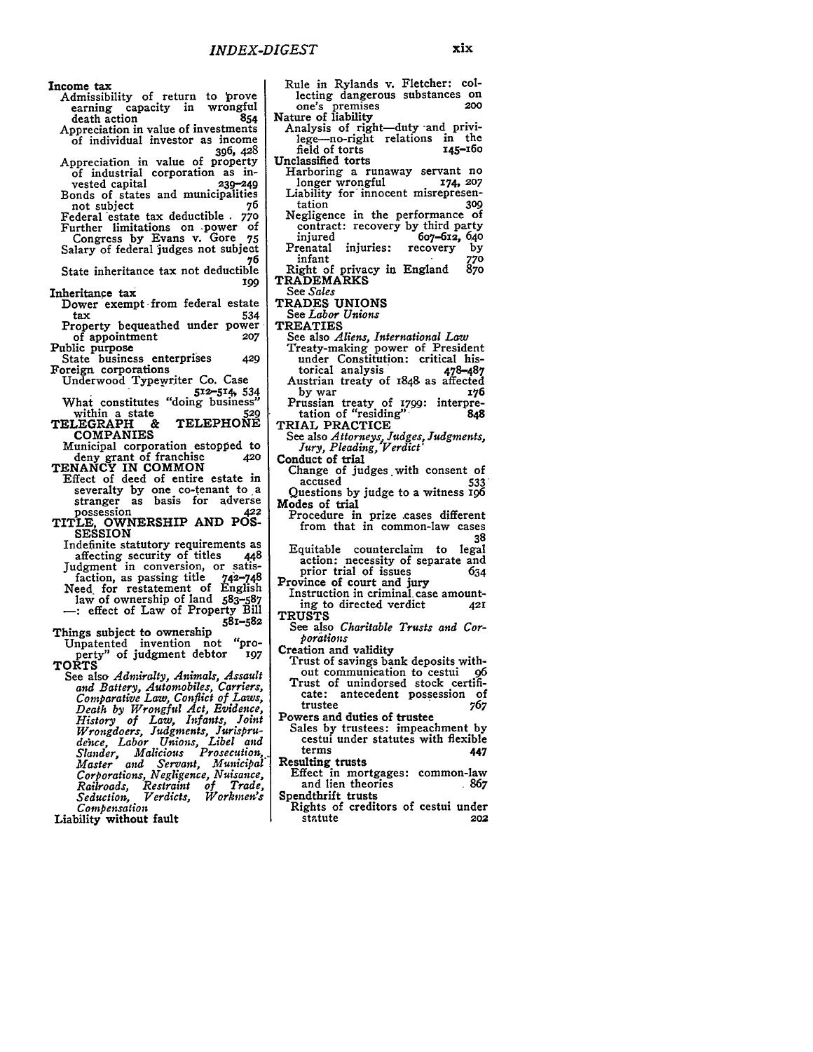Income tax

- Admissibility of return to prove earning capacity in wrongful<br>death action death action
- Appreciation in value of investments of individual investor as income 396, 428<br>Appreciation in value of property
- Appreciation in value of property of industrial corporation as invested capital **239-249** Bonds of states and municipalities<br>not subject 76

not subject **76** Federal 'estate tax deductible **. 770**

Further limitations on ,power of Congress **by** Evans v. Gore **75** Salary of federal judges not subject

76<br>State inheritance tax not deductible *199*

Inheritance tax

- Dower exempt from federal estate<br>tax 534 tax 534 Property bequeathed under power
- of appointment **207** Public purpose

State business enterprises *429* Foreign corporations

Underwood Typewriter Co. Case

**512-5 14,** *534* What constitutes "doing business" within a state **529** 

within a state 529<br>TELEGRAPH & TELEPHONE **COMPANIES**

Municipal corporation estopped to deny grant of franchise 420<br> **TENANCY IN COMMON** 

- Effect of deed of entire estate in severalty by one co-tenant to a<br>stranger as basis for adverse<br>possession 422
- possession **422** TITLE, OWNERSHIP **AND POS-SESSION**
- Indefinite statutory requirements as<br>affecting security of titles 448 affecting security of titles Judgment in conversion, or satisfaction, as passing title 742-748 Need, for restatement of English law of ownership of land 583-587 **-:** effect of Law of Property Bill

**581-582**

Things subject to ownership Unpatented invention not "property" of judgment debtor **197** TORTS

See also *Admiralty, Animals, Assault and Battery, Automobiles, Carriers, Comparative Law, Conflict of Laws, Death by Wrongful Act, Evidence, History of Law, Infants, Joint Wrongdoers, Judgments, Jurisprude'nce, Labor Unions, Libel and Slander, Malicious Prosecution, Master and Servant, Municipal Corporations, Negligence, Nuisance, Railroads, Restraint of Trade, Seduction, Verdicts, Workmen's Compensation*

Liability without fault

Rule in Rylands v. Fletcher: collecting dangerous substances on one's premises **<sup>200</sup>** one's premises<br>Nature of liability

- Analysis of right-duty and privi-<br>lege-no-right relations in the<br>field of torts r45-160 field of torts Unclassified torts
	- Harboring a runaway servant no longer wrongful 174, **<sup>207</sup>** Liability for innocent misrepresen-
	- tation **309** Negligence in the performance of contract: recovery by third party<br>injured 607-612, 640 injured 607-612, 640<br>Prenatal injuries: recovery by
- renatal injuries: recovery by<br>infant 770<br>ight of privacy in England 870 infant **770** Right of privacy in England **87o** TRADEMARKS
- See *Sales*
- TRADES **UNIONS**
- See *Labor Unions*

TREATIES

See also *Aliens, International Law*

Treaty-making power of President under Constitution: critical historical analysis **478-487**

- Austrian treaty of 1848 as affected **by** war **176** Prussian treaty **of 1799:** interpre-
- tation of "residing". TRIAL PRACTICE
- 

See also *Attorneys, Judges, Judgments, Jury, Pleading, Verdict'*

Conduct of trial

- Change of judges with consent of accused **533** Questions **by** judge to a witness **196**
- Modes of trial Procedure in prize ,cases different
	- from that in common-law cases**<sup>38</sup>**

Equitable counterclaim to legal action: necessity of separate and<br>prior trial of issues 634 prior trial of issues

- Province of court and jury Instruction in criminal, case amount-
- ing to directed verdict **421 TRUSTS**
- See also *Charitable Trusts and Corporations*
- Creation and validity
- Trust of savings bank deposits without communication to cestui **96** Trust of unindorsed stock certificate: antecedent possession of<br>trustee 767 trustee **767**
- Powers and duties of trustee Sales **by** trustees: impeachment by cestui under statutes with flexible terms 447

Resulting trusts

- Effect in mortgages: common-law<br>and lien theories 867 and lien theories Spendthrift trusts
- Rights of creditors of cestui under statute **202**